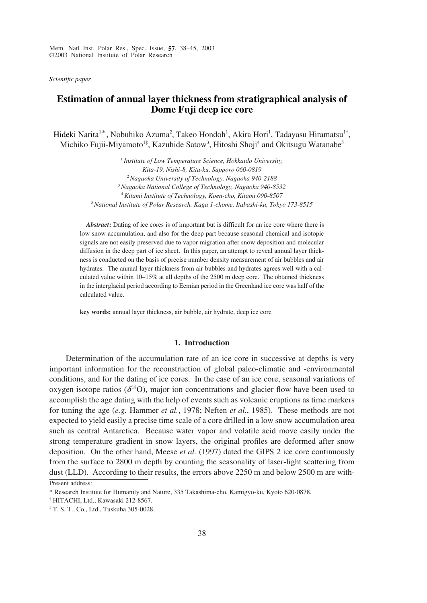Mem. Natl Inst. Polar Res., Spec. Issue, **57**, 38–45, 2003 ©2003 National Institute of Polar Research

*Scientific paper*

# **Estimation of annual layer thickness from stratigraphical analysis of Dome Fuji deep ice core**

Hideki Narita<sup>1\*</sup>, Nobuhiko Azuma<sup>2</sup>, Takeo Hondoh<sup>1</sup>, Akira Hori<sup>1</sup>, Tadayasu Hiramatsu<sup>1†</sup>, Michiko Fujii-Miyamoto<sup>1‡</sup>, Kazuhide Satow<sup>3</sup>, Hitoshi Shoji<sup>4</sup> and Okitsugu Watanabe<sup>5</sup>

> *Institute of Low Temperature Science, Hokkaido University, Kita-19, Nishi-8, Kita-ku, Sapporo 060-0819 Nagaoka University of Technology, Nagaoka 940-2188 Nagaoka National College of Technology, Nagaoka 940-8532 Kitami Institute of Technology, Koen-cho, Kitami 090-8507 National Institute of Polar Research, Kaga 1-chome, Itabashi-ku, Tokyo 173-8515*

*Abstract***:** Dating of ice cores is of important but is difficult for an ice core where there is low snow accumulation, and also for the deep part because seasonal chemical and isotopic signals are not easily preserved due to vapor migration after snow deposition and molecular diffusion in the deep part of ice sheet. In this paper, an attempt to reveal annual layer thickness is conducted on the basis of precise number density measurement of air bubbles and air hydrates. The annual layer thickness from air bubbles and hydrates agrees well with a calculated value within 10–15% at all depths of the 2500 m deep core. The obtained thickness in the interglacial period according to Eemian period in the Greenland ice core was half of the calculated value.

**key words:** annual layer thickness, air bubble, air hydrate, deep ice core

#### **1. Introduction**

Determination of the accumulation rate of an ice core in successive at depths is very important information for the reconstruction of global paleo-climatic and -environmental conditions, and for the dating of ice cores. In the case of an ice core, seasonal variations of oxygen isotope ratios  $(\delta^{18}O)$ , major ion concentrations and glacier flow have been used to accomplish the age dating with the help of events such as volcanic eruptions as time markers for tuning the age (*e.g.* Hammer *et al.*, 1978; Neften *et al.*, 1985). These methods are not expected to yield easily a precise time scale of a core drilled in a low snow accumulation area such as central Antarctica. Because water vapor and volatile acid move easily under the strong temperature gradient in snow layers, the original profiles are deformed after snow deposition. On the other hand, Meese *et al.* (1997) dated the GIPS 2 ice core continuously from the surface to 2800 m depth by counting the seasonality of laser-light scattering from dust (LLD). According to their results, the errors above 2250 m and below 2500 m are with-

Present address:

<sup>\*</sup> Research Institute for Humanity and Nature, 335 Takashima-cho, Kamigyo-ku, Kyoto 620-0878.

<sup>†</sup> HITACHI, Ltd., Kawasaki 212-8567.

<sup>‡</sup> T. S. T., Co., Ltd., Tuskuba 305-0028.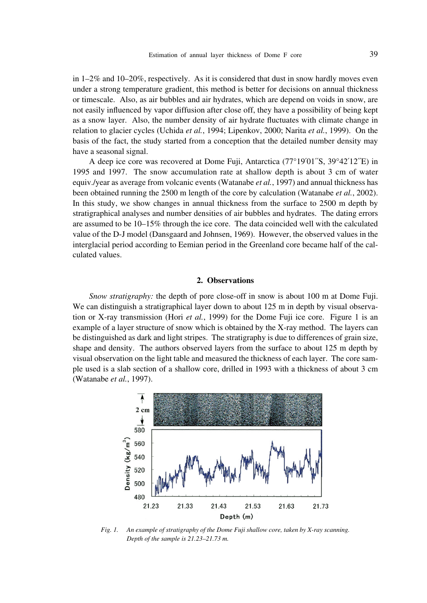in  $1-2\%$  and  $10-20\%$ , respectively. As it is considered that dust in snow hardly moves even under a strong temperature gradient, this method is better for decisions on annual thickness or timescale. Also, as air bubbles and air hydrates, which are depend on voids in snow, are not easily influenced by vapor diffusion after close off, they have a possibility of being kept as a snow layer. Also, the number density of air hydrate fluctuates with climate change in relation to glacier cycles (Uchida *et al.*, 1994; Lipenkov, 2000; Narita *et al.*, 1999). On the basis of the fact, the study started from a conception that the detailed number density may have a seasonal signal.

A deep ice core was recovered at Dome Fuji, Antarctica (77°19´01´´S, 39°42´12´´E) in 1995 and 1997. The snow accumulation rate at shallow depth is about 3 cm of water equiv./year as average from volcanic events (Watanabe *et al.*, 1997) and annual thickness has been obtained running the 2500 m length of the core by calculation (Watanabe *et al.*, 2002). In this study, we show changes in annual thickness from the surface to 2500 m depth by stratigraphical analyses and number densities of air bubbles and hydrates. The dating errors are assumed to be 10–15% through the ice core. The data coincided well with the calculated value of the D-J model (Dansgaard and Johnsen, 1969). However, the observed values in the interglacial period according to Eemian period in the Greenland core became half of the calculated values.

# **2. Observations**

*Snow stratigraphy:* the depth of pore close-off in snow is about 100 m at Dome Fuji. We can distinguish a stratigraphical layer down to about 125 m in depth by visual observation or X-ray transmission (Hori *et al.*, 1999) for the Dome Fuji ice core. Figure 1 is an example of a layer structure of snow which is obtained by the X-ray method. The layers can be distinguished as dark and light stripes. The stratigraphy is due to differences of grain size, shape and density. The authors observed layers from the surface to about 125 m depth by visual observation on the light table and measured the thickness of each layer. The core sample used is a slab section of a shallow core, drilled in 1993 with a thickness of about 3 cm (Watanabe *et al.*, 1997).



*Fig. 1. An example of stratigraphy of the Dome Fuji shallow core, taken by X-ray scanning. Depth of the sample is 21.23–21.73 m.*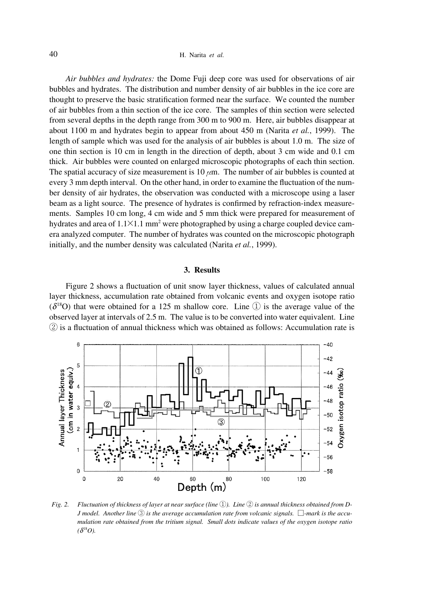*Air bubbles and hydrates:* the Dome Fuji deep core was used for observations of air bubbles and hydrates. The distribution and number density of air bubbles in the ice core are thought to preserve the basic stratification formed near the surface. We counted the number of air bubbles from a thin section of the ice core. The samples of thin section were selected from several depths in the depth range from 300 m to 900 m. Here, air bubbles disappear at about 1100 m and hydrates begin to appear from about 450 m (Narita *et al.*, 1999). The length of sample which was used for the analysis of air bubbles is about 1.0 m. The size of one thin section is 10 cm in length in the direction of depth, about 3 cm wide and 0.1 cm thick. Air bubbles were counted on enlarged microscopic photographs of each thin section. The spatial accuracy of size measurement is 10  $\mu$ m. The number of air bubbles is counted at every 3 mm depth interval. On the other hand, in order to examine the fluctuation of the number density of air hydrates, the observation was conducted with a microscope using a laser beam as a light source. The presence of hydrates is confirmed by refraction-index measurements. Samples 10 cm long, 4 cm wide and 5 mm thick were prepared for measurement of hydrates and area of  $1.1 \times 1.1$  mm<sup>2</sup> were photographed by using a charge coupled device camera analyzed computer. The number of hydrates was counted on the microscopic photograph initially, and the number density was calculated (Narita *et al.*, 1999).

# **3. Results**

Figure 2 shows a fluctuation of unit snow layer thickness, values of calculated annual layer thickness, accumulation rate obtained from volcanic events and oxygen isotope ratio  $(\delta^{18}O)$  that were obtained for a 125 m shallow core. Line  $\circled{1}$  is the average value of the observed layer at intervals of 2.5 m. The value is to be converted into water equivalent. Line ② is a fluctuation of annual thickness which was obtained as follows: Accumulation rate is



*Fig. 2. Fluctuation of thickness of layer at near surface (line* ①*). Line* ② *is annual thickness obtained from D-J model. Another line* ③ *is the average accumulation rate from volcanic signals.* □*-mark is the accumulation rate obtained from the tritium signal. Small dots indicate values of the oxygen isotope ratio*  $(\delta^{18}O)$ .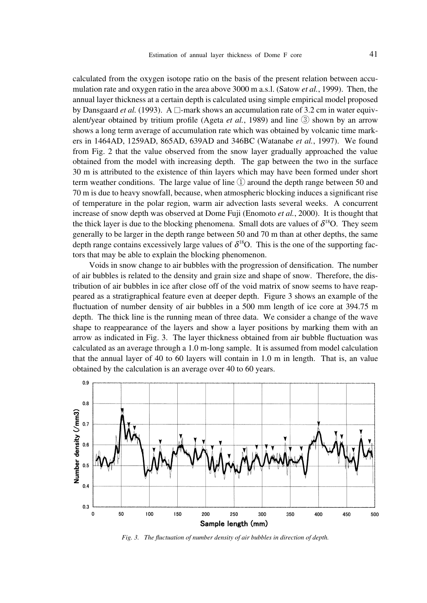calculated from the oxygen isotope ratio on the basis of the present relation between accumulation rate and oxygen ratio in the area above 3000 m a.s.l. (Satow *et al.*, 1999). Then, the annual layer thickness at a certain depth is calculated using simple empirical model proposed by Dansgaard *et al.* (1993). A  $\Box$ -mark shows an accumulation rate of 3.2 cm in water equivalent/year obtained by tritium profile (Ageta *et al.*, 1989) and line ③ shown by an arrow shows a long term average of accumulation rate which was obtained by volcanic time markers in 1464AD, 1259AD, 865AD, 639AD and 346BC (Watanabe *et al.*, 1997). We found from Fig. 2 that the value observed from the snow layer gradually approached the value obtained from the model with increasing depth. The gap between the two in the surface 30 m is attributed to the existence of thin layers which may have been formed under short term weather conditions. The large value of line  $(1)$  around the depth range between 50 and 70 m is due to heavy snowfall, because, when atmospheric blocking induces a significant rise of temperature in the polar region, warm air advection lasts several weeks. A concurrent increase of snow depth was observed at Dome Fuji (Enomoto *et al.*, 2000). It is thought that the thick layer is due to the blocking phenomena. Small dots are values of  $\delta^{18}O$ . They seem generally to be larger in the depth range between 50 and 70 m than at other depths, the same depth range contains excessively large values of  $\delta^{18}O$ . This is the one of the supporting factors that may be able to explain the blocking phenomenon.

Voids in snow change to air bubbles with the progression of densification. The number of air bubbles is related to the density and grain size and shape of snow. Therefore, the distribution of air bubbles in ice after close off of the void matrix of snow seems to have reappeared as a stratigraphical feature even at deeper depth. Figure 3 shows an example of the fluctuation of number density of air bubbles in a 500 mm length of ice core at 394.75 m depth. The thick line is the running mean of three data. We consider a change of the wave shape to reappearance of the layers and show a layer positions by marking them with an arrow as indicated in Fig. 3. The layer thickness obtained from air bubble fluctuation was calculated as an average through a 1.0 m-long sample. It is assumed from model calculation that the annual layer of 40 to 60 layers will contain in 1.0 m in length. That is, an value obtained by the calculation is an average over 40 to 60 years.



*Fig. 3. The fluctuation of number density of air bubbles in direction of depth.*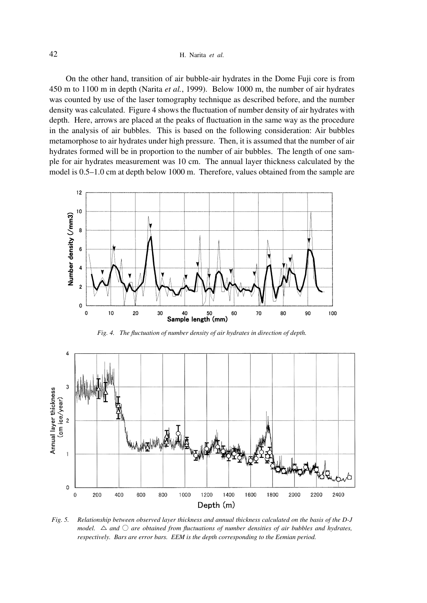# 42 H. Narita *et al.*

On the other hand, transition of air bubble-air hydrates in the Dome Fuji core is from 450 m to 1100 m in depth (Narita *et al.*, 1999). Below 1000 m, the number of air hydrates was counted by use of the laser tomography technique as described before, and the number density was calculated. Figure 4 shows the fluctuation of number density of air hydrates with depth. Here, arrows are placed at the peaks of fluctuation in the same way as the procedure in the analysis of air bubbles. This is based on the following consideration: Air bubbles metamorphose to air hydrates under high pressure. Then, it is assumed that the number of air hydrates formed will be in proportion to the number of air bubbles. The length of one sample for air hydrates measurement was 10 cm. The annual layer thickness calculated by the model is 0.5–1.0 cm at depth below 1000 m. Therefore, values obtained from the sample are





*Fig. 5. Relationship between observed layer thickness and annual thickness calculated on the basis of the D-J model.*  $\triangle$  *and*  $\triangle$  *are obtained from fluctuations of number densities of air bubbles and hydrates, respectively. Bars are error bars. EEM is the depth corresponding to the Eemian period.*

Depth (m)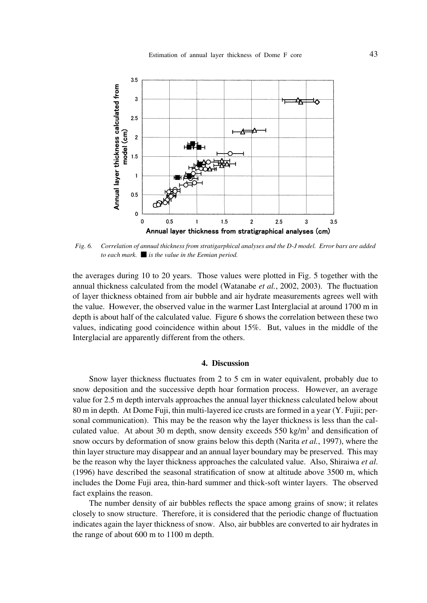

*Fig. 6. Correlation of annual thickness from stratigarphical analyses and the D-J model. Error bars are added to each mark.* ■ *is the value in the Eemian period.*

the averages during 10 to 20 years. Those values were plotted in Fig. 5 together with the annual thickness calculated from the model (Watanabe *et al.*, 2002, 2003). The fluctuation of layer thickness obtained from air bubble and air hydrate measurements agrees well with the value. However, the observed value in the warmer Last Interglacial at around 1700 m in depth is about half of the calculated value. Figure 6 shows the correlation between these two values, indicating good coincidence within about 15%. But, values in the middle of the Interglacial are apparently different from the others.

## **4. Discussion**

Snow layer thickness fluctuates from 2 to 5 cm in water equivalent, probably due to snow deposition and the successive depth hoar formation process. However, an average value for 2.5 m depth intervals approaches the annual layer thickness calculated below about 80 m in depth. At Dome Fuji, thin multi-layered ice crusts are formed in a year (Y. Fujii; personal communication). This may be the reason why the layer thickness is less than the calculated value. At about 30 m depth, snow density exceeds  $550 \text{ kg/m}^3$  and densification of snow occurs by deformation of snow grains below this depth (Narita *et al.*, 1997), where the thin layer structure may disappear and an annual layer boundary may be preserved. This may be the reason why the layer thickness approaches the calculated value. Also, Shiraiwa *et al*. (1996) have described the seasonal stratification of snow at altitude above 3500 m, which includes the Dome Fuji area, thin-hard summer and thick-soft winter layers. The observed fact explains the reason.

The number density of air bubbles reflects the space among grains of snow; it relates closely to snow structure. Therefore, it is considered that the periodic change of fluctuation indicates again the layer thickness of snow. Also, air bubbles are converted to air hydrates in the range of about 600 m to 1100 m depth.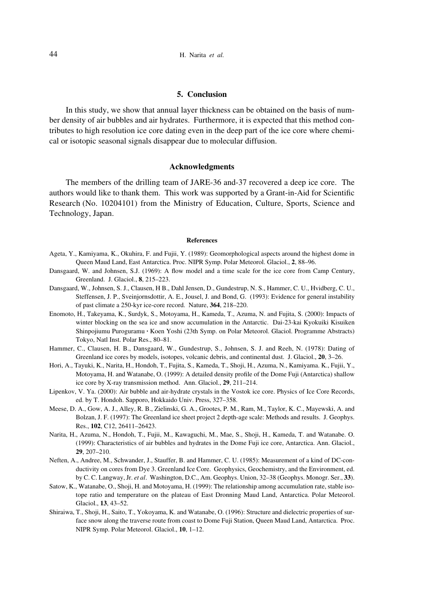## **5. Conclusion**

In this study, we show that annual layer thickness can be obtained on the basis of number density of air bubbles and air hydrates. Furthermore, it is expected that this method contributes to high resolution ice core dating even in the deep part of the ice core where chemical or isotopic seasonal signals disappear due to molecular diffusion.

## **Acknowledgments**

The members of the drilling team of JARE-36 and-37 recovered a deep ice core. The authors would like to thank them. This work was supported by a Grant-in-Aid for Scientific Research (No. 10204101) from the Ministry of Education, Culture, Sports, Science and Technology, Japan.

#### **References**

- Ageta, Y., Kamiyama, K., Okuhira, F. and Fujii, Y. (1989): Geomorphological aspects around the highest dome in Queen Maud Land, East Antarctica. Proc. NIPR Symp. Polar Meteorol. Glaciol., **2**, 88–96.
- Dansgaard, W. and Johnsen, S.J. (1969): A flow model and a time scale for the ice core from Camp Century, Greenland. J. Glaciol., **8**, 215–223.
- Dansgaard, W., Johnsen, S. J., Clausen, H B., Dahl Jensen, D., Gundestrup, N. S., Hammer, C. U., Hvidberg, C. U., Steffensen, J. P., Sveinjornsdottir, A. E., Jousel, J. and Bond, G. (1993): Evidence for general instability of past climate a 250-kyr ice-core record. Nature, **364**, 218–220.
- Enomoto, H., Takeyama, K., Surdyk, S., Motoyama, H., Kameda, T., Azuma, N. and Fujita, S. (2000): Impacts of winter blocking on the sea ice and snow accumulation in the Antarctic. Dai-23-kai Kyokuiki Kisuiken Shinpojiumu Puroguramu • Koen Yoshi (23th Symp. on Polar Meteorol. Glaciol. Programme Abstracts) Tokyo, Natl Inst. Polar Res., 80–81.
- Hammer, C., Clausen, H. B., Dansgaard, W., Gundestrup, S., Johnsen, S. J. and Reeh, N. (1978): Dating of Greenland ice cores by models, isotopes, volcanic debris, and continental dust. J. Glaciol., **20**, 3–26.
- Hori, A., Tayuki, K., Narita, H., Hondoh, T., Fujita, S., Kameda, T., Shoji, H., Azuma, N., Kamiyama. K., Fujii, Y., Motoyama, H. and Watanabe, O. (1999): A detailed density profile of the Dome Fuji (Antarctica) shallow ice core by X-ray transmission method. Ann. Glaciol., **29**, 211–214.
- Lipenkov, V. Ya. (2000): Air bubble and air-hydrate crystals in the Vostok ice core. Physics of Ice Core Records, ed. by T. Hondoh. Sapporo, Hokkaido Univ. Press, 327–358.
- Meese, D. A., Gow, A. J., Alley, R. B., Zielinski, G. A., Grootes, P. M., Ram, M., Taylor, K. C., Mayewski, A. and Bolzan, J. F. (1997): The Greenland ice sheet project 2 depth-age scale: Methods and results. J. Geophys. Res., **102**, C12, 26411–26423.
- Narita, H., Azuma, N., Hondoh, T., Fujii, M., Kawaguchi, M., Mae, S., Shoji, H., Kameda, T. and Watanabe. O. (1999): Characteristics of air bubbles and hydrates in the Dome Fuji ice core, Antarctica. Ann. Glaciol., **29**, 207–210.
- Neften, A., Andree, M., Schwander, J., Stauffer, B. and Hammer, C. U. (1985): Measurement of a kind of DC-conductivity on cores from Dye 3. Greenland Ice Core. Geophysics, Geochemistry, and the Environment, ed. by C. C. Langway, Jr. *et al*. Washington, D.C., Am. Geophys. Union, 32–38 (Geophys. Monogr. Ser., **33**).
- Satow, K., Watanabe, O., Shoji, H. and Motoyama, H. (1999): The relationship among accumulation rate, stable isotope ratio and temperature on the plateau of East Dronning Maud Land, Antarctica. Polar Meteorol. Glaciol., **13**, 43–52.
- Shiraiwa, T., Shoji, H., Saito, T., Yokoyama, K. and Watanabe, O. (1996): Structure and dielectric properties of surface snow along the traverse route from coast to Dome Fuji Station, Queen Maud Land, Antarctica. Proc. NIPR Symp. Polar Meteorol. Glaciol., **10**, 1–12.